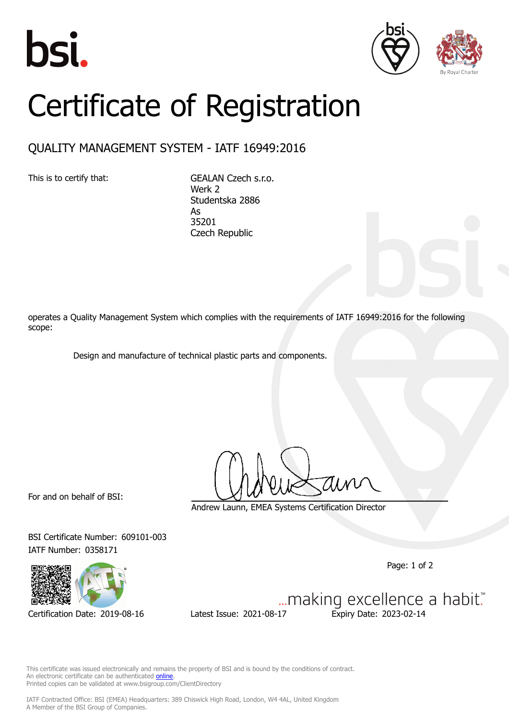





## Certificate of Registration

## QUALITY MANAGEMENT SYSTEM - IATF 16949:2016

This is to certify that: GEALAN Czech s.r.o. Werk 2 Studentska 2886 As 35201 Czech Republic

operates a Quality Management System which complies with the requirements of IATF 16949:2016 for the following scope:

Design and manufacture of technical plastic parts and components.

For and on behalf of BSI:

Andrew Launn, EMEA Systems Certification Director

BSI Certificate Number: 609101-003 IATF Number: 0358171

Certification Date: 2019-08-16 Latest Issue: 2021-08-17 Expiry Date: 2023-02-14

Page: 1 of 2

... making excellence a habit."

This certificate was issued electronically and remains the property of BSI and is bound by the conditions of contract. An electronic certificate can be authenticated **[online](https://pgplus.bsigroup.com/CertificateValidation/CertificateValidator.aspx?CertificateNumber=TS+609101-003&ReIssueDate=17%2f08%2f2021&Template=cemea_en)** Printed copies can be validated at www.bsigroup.com/ClientDirectory

IATF Contracted Office: BSI (EMEA) Headquarters: 389 Chiswick High Road, London, W4 4AL, United Kingdom A Member of the BSI Group of Companies.